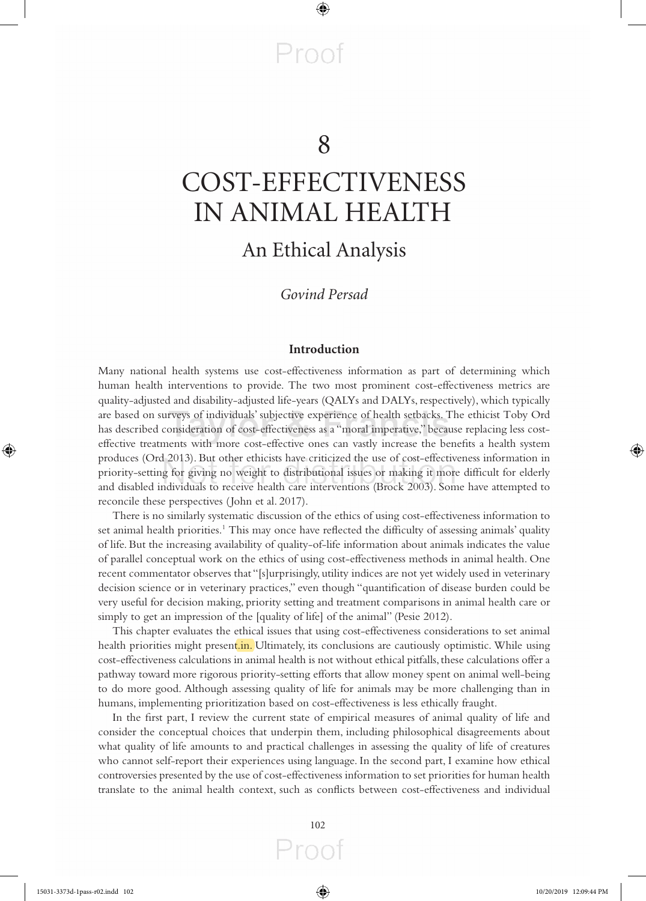# Proof

⊕

# COST-EFFECTIVENESS IN ANIMAL HEALTH

# An Ethical Analysis

## *Govind Persad*

### **Introduction**

 Many national health systems use cost-effectiveness information as part of determining which human health interventions to provide. The two most prominent cost-effectiveness metrics are quality-adjusted and disability-adjusted life-years (QALYs and DALYs, respectively), which typically are based on surveys of individuals' subjective experience of health setbacks. The ethicist Toby Ord has described consideration of cost-effectiveness as a "moral imperative," because replacing less costeffective treatments with more cost-effective ones can vastly increase the benefits a health system produces ( Ord 2013 ). But other ethicists have criticized the use of cost-effectiveness information in priority-setting for giving no weight to distributional issues or making it more difficult for elderly and disabled individuals to receive health care interventions (Brock 2003). Some have attempted to reconcile these perspectives ( John et al. 2017).

 There is no similarly systematic discussion of the ethics of using cost-effectiveness information to set animal health priorities.<sup>1</sup> This may once have reflected the difficulty of assessing animals' quality of life. But the increasing availability of quality-of-life information about animals indicates the value of parallel conceptual work on the ethics of using cost-effectiveness methods in animal health. One recent commentator observes that "[s]urprisingly, utility indices are not yet widely used in veterinary decision science or in veterinary practices," even though "quantification of disease burden could be very useful for decision making, priority setting and treatment comparisons in animal health care or simply to get an impression of the [quality of life] of the animal" (Pesie 2012).

 This chapter evaluates the ethical issues that using cost-effectiveness considerations to set animal health priorities might present.in. Ultimately, its conclusions are cautiously optimistic. While using cost-effectiveness calculations in animal health is not without ethical pitfalls, these calculations offer a pathway toward more rigorous priority-setting efforts that allow money spent on animal well-being to do more good. Although assessing quality of life for animals may be more challenging than in humans, implementing prioritization based on cost-effectiveness is less ethically fraught.

In the first part, I review the current state of empirical measures of animal quality of life and consider the conceptual choices that underpin them, including philosophical disagreements about what quality of life amounts to and practical challenges in assessing the quality of life of creatures who cannot self-report their experiences using language. In the second part, I examine how ethical controversies presented by the use of cost-effectiveness information to set priorities for human health translate to the animal health context, such as conflicts between cost-effectiveness and individual

102

Proof

⊕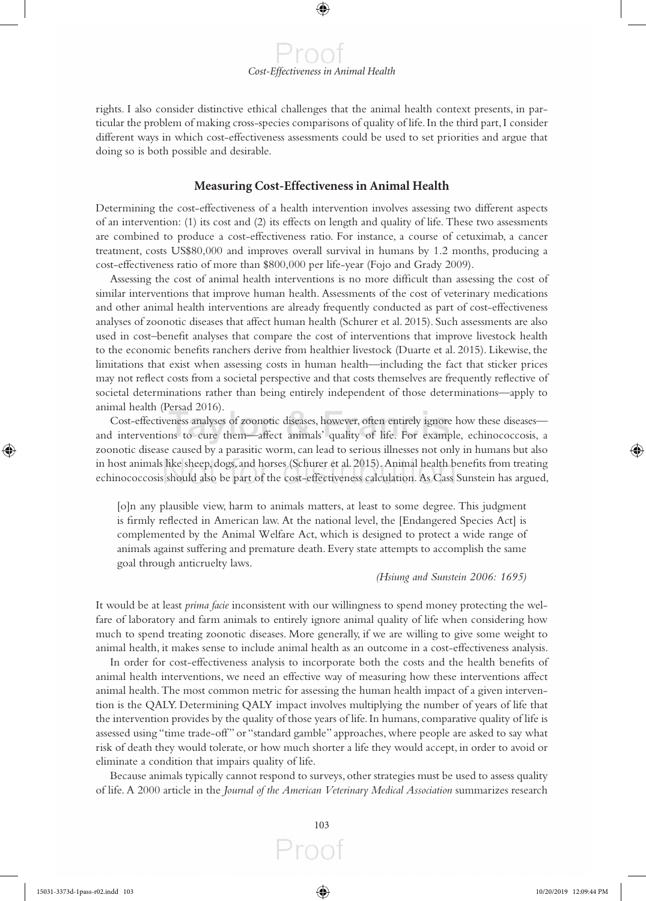⊕

rights. I also consider distinctive ethical challenges that the animal health context presents, in particular the problem of making cross-species comparisons of quality of life. In the third part, I consider different ways in which cost-effectiveness assessments could be used to set priorities and argue that doing so is both possible and desirable.

## **Measuring Cost-Effectiveness in Animal Health**

 Determining the cost-effectiveness of a health intervention involves assessing two different aspects of an intervention: (1) its cost and (2) its effects on length and quality of life. These two assessments are combined to produce a cost-effectiveness ratio. For instance, a course of cetuximab, a cancer treatment, costs US\$80,000 and improves overall survival in humans by 1.2 months, producing a cost-effectiveness ratio of more than \$800,000 per life-year (Fojo and Grady 2009).

Assessing the cost of animal health interventions is no more difficult than assessing the cost of similar interventions that improve human health. Assessments of the cost of veterinary medications and other animal health interventions are already frequently conducted as part of cost-effectiveness analyses of zoonotic diseases that affect human health (Schurer et al. 2015). Such assessments are also used in cost–benefit analyses that compare the cost of interventions that improve livestock health to the economic benefits ranchers derive from healthier livestock (Duarte et al. 2015). Likewise, the limitations that exist when assessing costs in human health—including the fact that sticker prices may not reflect costs from a societal perspective and that costs themselves are frequently reflective of societal determinations rather than being entirely independent of those determinations—apply to animal health (Persad 2016).

 Cost-effectiveness analyses of zoonotic diseases, however, often entirely ignore how these diseases and interventions to cure them—affect animals' quality of life. For example, echinococcosis, a zoonotic disease caused by a parasitic worm, can lead to serious illnesses not only in humans but also in host animals like sheep, dogs, and horses (Schurer et al. 2015). Animal health benefits from treating echinococcosis should also be part of the cost-effectiveness calculation. As Cass Sunstein has argued,

 [o]n any plausible view, harm to animals matters, at least to some degree. This judgment is firmly reflected in American law. At the national level, the [Endangered Species Act] is complemented by the Animal Welfare Act, which is designed to protect a wide range of animals against suffering and premature death. Every state attempts to accomplish the same goal through anticruelty laws.

### *( Hsiung and Sunstein 2006 : 1695)*

 It would be at least *prima facie* inconsistent with our willingness to spend money protecting the welfare of laboratory and farm animals to entirely ignore animal quality of life when considering how much to spend treating zoonotic diseases. More generally, if we are willing to give some weight to animal health, it makes sense to include animal health as an outcome in a cost-effectiveness analysis.

In order for cost-effectiveness analysis to incorporate both the costs and the health benefits of animal health interventions, we need an effective way of measuring how these interventions affect animal health. The most common metric for assessing the human health impact of a given intervention is the QALY. Determining QALY impact involves multiplying the number of years of life that the intervention provides by the quality of those years of life. In humans, comparative quality of life is assessed using "time trade-off" or "standard gamble" approaches, where people are asked to say what risk of death they would tolerate, or how much shorter a life they would accept, in order to avoid or eliminate a condition that impairs quality of life.

 Because animals typically cannot respond to surveys, other strategies must be used to assess quality of life. A 2000 article in the *Journal of the American Veterinary Medical Association* summarizes research

Proot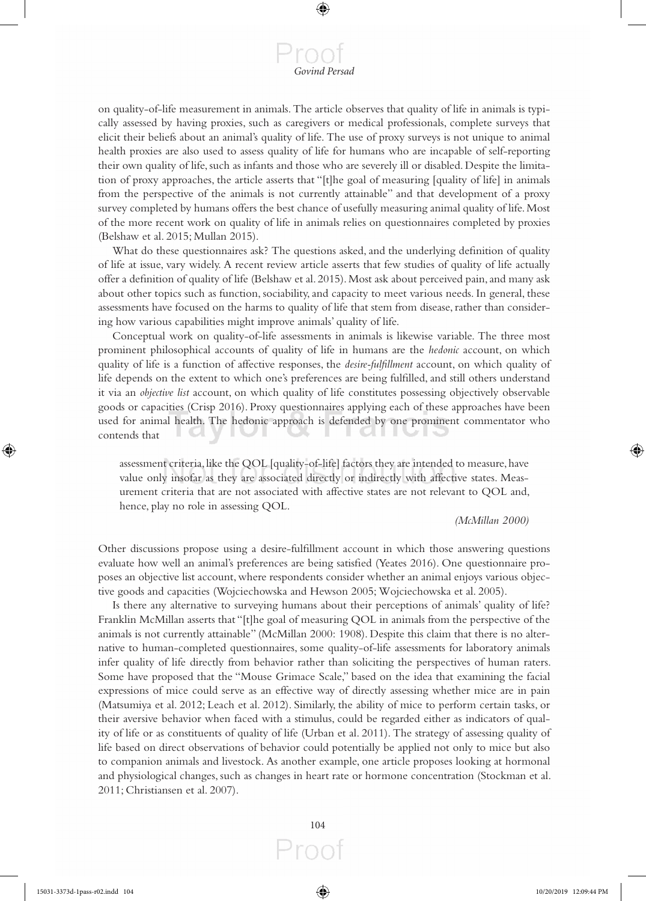⊕

on quality-of-life measurement in animals. The article observes that quality of life in animals is typically assessed by having proxies, such as caregivers or medical professionals, complete surveys that elicit their beliefs about an animal's quality of life. The use of proxy surveys is not unique to animal health proxies are also used to assess quality of life for humans who are incapable of self-reporting their own quality of life, such as infants and those who are severely ill or disabled. Despite the limitation of proxy approaches, the article asserts that "[t]he goal of measuring [quality of life] in animals from the perspective of the animals is not currently attainable" and that development of a proxy survey completed by humans offers the best chance of usefully measuring animal quality of life. Most of the more recent work on quality of life in animals relies on questionnaires completed by proxies (Belshaw et al. 2015; Mullan 2015 ).

What do these questionnaires ask? The questions asked, and the underlying definition of quality of life at issue, vary widely. A recent review article asserts that few studies of quality of life actually offer a definition of quality of life (Belshaw et al. 2015). Most ask about perceived pain, and many ask about other topics such as function, sociability, and capacity to meet various needs. In general, these assessments have focused on the harms to quality of life that stem from disease, rather than considering how various capabilities might improve animals' quality of life.

 Conceptual work on quality-of-life assessments in animals is likewise variable. The three most prominent philosophical accounts of quality of life in humans are the *hedonic* account, on which quality of life is a function of affective responses, the *desire-fulfillment* account, on which quality of life depends on the extent to which one's preferences are being fulfilled, and still others understand it via an *objective list* account, on which quality of life constitutes possessing objectively observable goods or capacities (Crisp 2016). Proxy questionnaires applying each of these approaches have been used for animal health. The hedonic approach is defended by one prominent commentator who contends that

 assessment criteria, like the QOL [quality-of-life] factors they are intended to measure, have value only insofar as they are associated directly or indirectly with affective states. Measurement criteria that are not associated with affective states are not relevant to QOL and, hence, play no role in assessing QOL.

#### *( McMillan 2000 )*

Other discussions propose using a desire-fulfillment account in which those answering questions evaluate how well an animal's preferences are being satisfied (Yeates 2016). One questionnaire proposes an objective list account, where respondents consider whether an animal enjoys various objective goods and capacities (Wojciechowska and Hewson 2005; Wojciechowska et al. 2005).

 Is there any alternative to surveying humans about their perceptions of animals' quality of life? Franklin McMillan asserts that "[t]he goal of measuring QOL in animals from the perspective of the animals is not currently attainable" (McMillan 2000: 1908). Despite this claim that there is no alternative to human-completed questionnaires, some quality-of-life assessments for laboratory animals infer quality of life directly from behavior rather than soliciting the perspectives of human raters. Some have proposed that the "Mouse Grimace Scale," based on the idea that examining the facial expressions of mice could serve as an effective way of directly assessing whether mice are in pain (Matsumiya et al. 2012; Leach et al. 2012). Similarly, the ability of mice to perform certain tasks, or their aversive behavior when faced with a stimulus, could be regarded either as indicators of quality of life or as constituents of quality of life (Urban et al. 2011). The strategy of assessing quality of life based on direct observations of behavior could potentially be applied not only to mice but also to companion animals and livestock. As another example, one article proposes looking at hormonal and physiological changes, such as changes in heart rate or hormone concentration (Stockman et al. 2011; Christiansen et al. 2007).

104

Proo<sup>.</sup>

⊕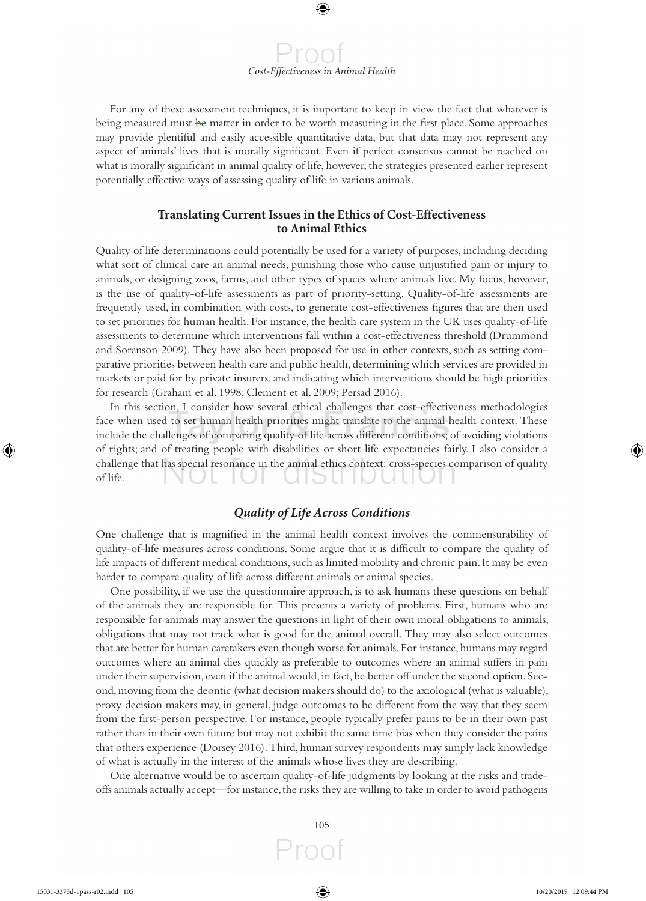⊕

 For any of these assessment techniques, it is important to keep in view the fact that whatever is being measured must be matter in order to be worth measuring in the first place. Some approaches may provide plentiful and easily accessible quantitative data, but that data may not represent any aspect of animals' lives that is morally significant. Even if perfect consensus cannot be reached on what is morally significant in animal quality of life, however, the strategies presented earlier represent potentially effective ways of assessing quality of life in various animals.

### **Translating Current Issues in the Ethics of Cost-Effectiveness to Animal Ethics**

 Quality of life determinations could potentially be used for a variety of purposes, including deciding what sort of clinical care an animal needs, punishing those who cause unjustified pain or injury to animals, or designing zoos, farms, and other types of spaces where animals live. My focus, however, is the use of quality-of-life assessments as part of priority-setting. Quality-of-life assessments are frequently used, in combination with costs, to generate cost-effectiveness figures that are then used to set priorities for human health. For instance, the health care system in the UK uses quality-of-life assessments to determine which interventions fall within a cost-effectiveness threshold ( Drummond and Sorenson 2009). They have also been proposed for use in other contexts, such as setting comparative priorities between health care and public health, determining which services are provided in markets or paid for by private insurers, and indicating which interventions should be high priorities for research (Graham et al. 1998; Clement et al. 2009; Persad 2016).

 In this section, I consider how several ethical challenges that cost-effectiveness methodologies face when used to set human health priorities might translate to the animal health context. These include the challenges of comparing quality of life across different conditions; of avoiding violations of rights; and of treating people with disabilities or short life expectancies fairly. I also consider a challenge that has special resonance in the animal ethics context: cross-species comparison of quality of life.

## *Quality of Life Across Conditions*

One challenge that is magnified in the animal health context involves the commensurability of quality-of-life measures across conditions. Some argue that it is difficult to compare the quality of life impacts of different medical conditions, such as limited mobility and chronic pain. It may be even harder to compare quality of life across different animals or animal species.

 One possibility, if we use the questionnaire approach, is to ask humans these questions on behalf of the animals they are responsible for. This presents a variety of problems. First, humans who are responsible for animals may answer the questions in light of their own moral obligations to animals, obligations that may not track what is good for the animal overall. They may also select outcomes that are better for human caretakers even though worse for animals. For instance, humans may regard outcomes where an animal dies quickly as preferable to outcomes where an animal suffers in pain under their supervision, even if the animal would, in fact, be better off under the second option. Second, moving from the deontic (what decision makers should do) to the axiological (what is valuable), proxy decision makers may, in general, judge outcomes to be different from the way that they seem from the first-person perspective. For instance, people typically prefer pains to be in their own past rather than in their own future but may not exhibit the same time bias when they consider the pains that others experience (Dorsey 2016). Third, human survey respondents may simply lack knowledge of what is actually in the interest of the animals whose lives they are describing.

 One alternative would be to ascertain quality-of-life judgments by looking at the risks and tradeoffs animals actually accept—for instance, the risks they are willing to take in order to avoid pathogens

105

Proot

⊕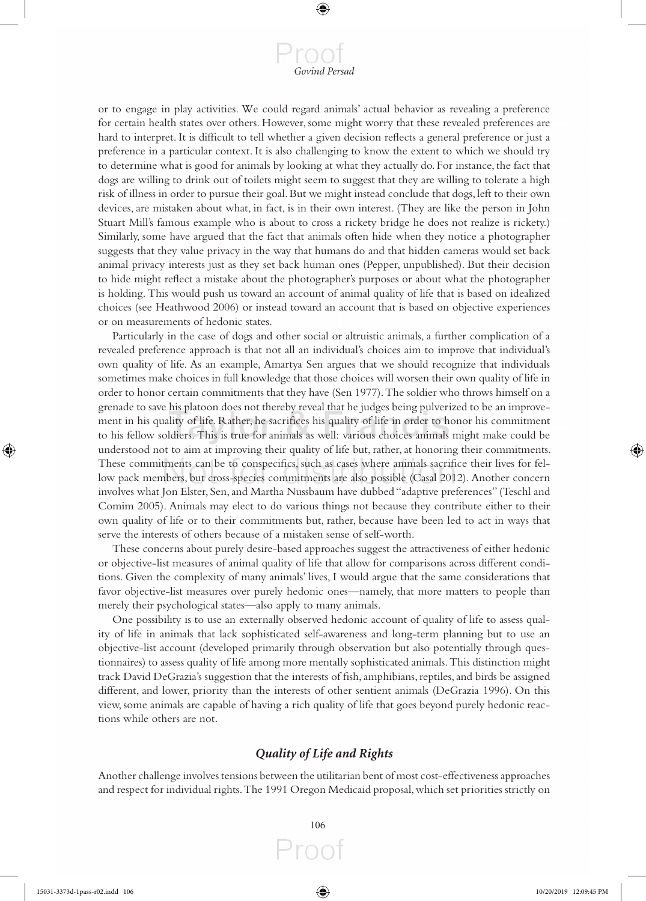⊕

or to engage in play activities. We could regard animals' actual behavior as revealing a preference for certain health states over others. However, some might worry that these revealed preferences are hard to interpret. It is difficult to tell whether a given decision reflects a general preference or just a preference in a particular context. It is also challenging to know the extent to which we should try to determine what is good for animals by looking at what they actually do. For instance, the fact that dogs are willing to drink out of toilets might seem to suggest that they are willing to tolerate a high risk of illness in order to pursue their goal. But we might instead conclude that dogs, left to their own devices, are mistaken about what, in fact, is in their own interest. (They are like the person in John Stuart Mill's famous example who is about to cross a rickety bridge he does not realize is rickety.) Similarly, some have argued that the fact that animals often hide when they notice a photographer suggests that they value privacy in the way that humans do and that hidden cameras would set back animal privacy interests just as they set back human ones (Pepper, unpublished). But their decision to hide might reflect a mistake about the photographer's purposes or about what the photographer is holding. This would push us toward an account of animal quality of life that is based on idealized choices (see Heathwood 2006) or instead toward an account that is based on objective experiences or on measurements of hedonic states.

 Particularly in the case of dogs and other social or altruistic animals, a further complication of a revealed preference approach is that not all an individual's choices aim to improve that individual's own quality of life. As an example, Amartya Sen argues that we should recognize that individuals sometimes make choices in full knowledge that those choices will worsen their own quality of life in order to honor certain commitments that they have (Sen 1977). The soldier who throws himself on a grenade to save his platoon does not thereby reveal that he judges being pulverized to be an improvement in his quality of life. Rather, he sacrifices his quality of life in order to honor his commitment to his fellow soldiers. This is true for animals as well: various choices animals might make could be understood not to aim at improving their quality of life but, rather, at honoring their commitments. These commitments can be to conspecifics, such as cases where animals sacrifice their lives for fellow pack members, but cross-species commitments are also possible (Casal 2012). Another concern involves what Jon Elster, Sen, and Martha Nussbaum have dubbed "adaptive preferences" ( Teschl and Comim 2005). Animals may elect to do various things not because they contribute either to their own quality of life or to their commitments but, rather, because have been led to act in ways that serve the interests of others because of a mistaken sense of self-worth.

 These concerns about purely desire-based approaches suggest the attractiveness of either hedonic or objective-list measures of animal quality of life that allow for comparisons across different conditions. Given the complexity of many animals' lives, I would argue that the same considerations that favor objective-list measures over purely hedonic ones—namely, that more matters to people than merely their psychological states—also apply to many animals.

 One possibility is to use an externally observed hedonic account of quality of life to assess quality of life in animals that lack sophisticated self-awareness and long-term planning but to use an objective-list account (developed primarily through observation but also potentially through questionnaires) to assess quality of life among more mentally sophisticated animals. This distinction might track David DeGrazia's suggestion that the interests of fish, amphibians, reptiles, and birds be assigned different, and lower, priority than the interests of other sentient animals (DeGrazia 1996). On this view, some animals are capable of having a rich quality of life that goes beyond purely hedonic reactions while others are not.

### *Quality of Life and Rights*

 Another challenge involves tensions between the utilitarian bent of most cost-effectiveness approaches and respect for individual rights. The 1991 Oregon Medicaid proposal, which set priorities strictly on

Proot

⊕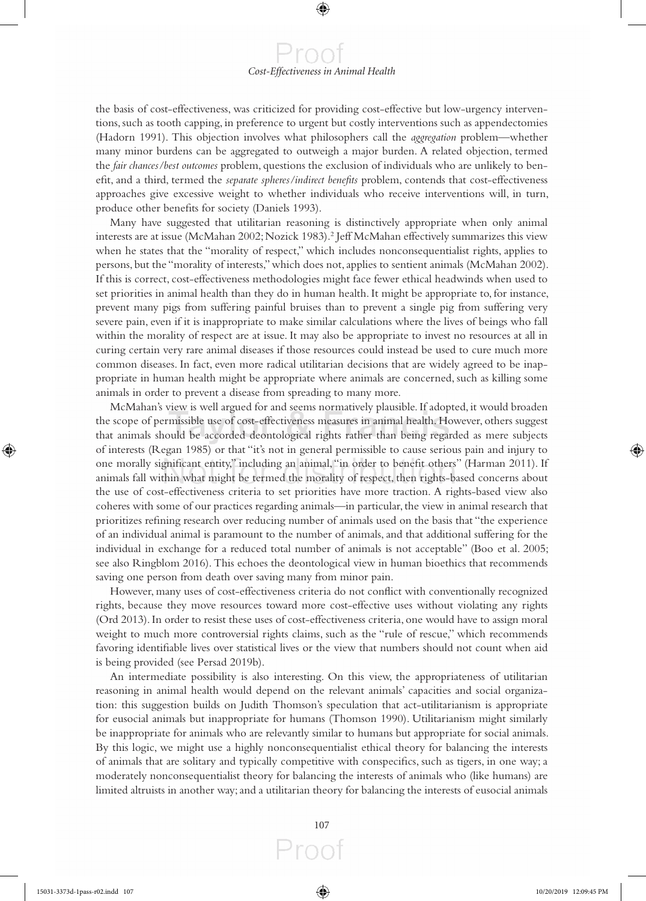⊕

the basis of cost-effectiveness, was criticized for providing cost-effective but low-urgency interventions, such as tooth capping, in preference to urgent but costly interventions such as appendectomies ( Hadorn 1991 ). This objection involves what philosophers call the *aggregation* problem—whether many minor burdens can be aggregated to outweigh a major burden. A related objection, termed the *fair chances/best outcomes* problem, questions the exclusion of individuals who are unlikely to benefit, and a third, termed the *separate spheres/indirect benefits* problem, contends that cost-effectiveness approaches give excessive weight to whether individuals who receive interventions will, in turn, produce other benefits for society (Daniels 1993).

 Many have suggested that utilitarian reasoning is distinctively appropriate when only animal interests are at issue (McMahan 2002; Nozick 1983).<sup>2</sup> Jeff McMahan effectively summarizes this view when he states that the "morality of respect," which includes nonconsequentialist rights, applies to persons, but the "morality of interests," which does not, applies to sentient animals (McMahan 2002). If this is correct, cost-effectiveness methodologies might face fewer ethical headwinds when used to set priorities in animal health than they do in human health. It might be appropriate to, for instance, prevent many pigs from suffering painful bruises than to prevent a single pig from suffering very severe pain, even if it is inappropriate to make similar calculations where the lives of beings who fall within the morality of respect are at issue. It may also be appropriate to invest no resources at all in curing certain very rare animal diseases if those resources could instead be used to cure much more common diseases. In fact, even more radical utilitarian decisions that are widely agreed to be inappropriate in human health might be appropriate where animals are concerned, such as killing some animals in order to prevent a disease from spreading to many more.

 McMahan's view is well argued for and seems normatively plausible. If adopted, it would broaden the scope of permissible use of cost-effectiveness measures in animal health. However, others suggest that animals should be accorded deontological rights rather than being regarded as mere subjects of interests ( Regan 1985 ) or that "it's not in general permissible to cause serious pain and injury to one morally significant entity," including an animal, "in order to benefit others" (Harman 2011). If animals fall within what might be termed the morality of respect, then rights-based concerns about the use of cost-effectiveness criteria to set priorities have more traction. A rights-based view also coheres with some of our practices regarding animals—in particular, the view in animal research that prioritizes refining research over reducing number of animals used on the basis that "the experience of an individual animal is paramount to the number of animals, and that additional suffering for the individual in exchange for a reduced total number of animals is not acceptable" (Boo et al. 2005; see also Ringblom 2016). This echoes the deontological view in human bioethics that recommends saving one person from death over saving many from minor pain.

However, many uses of cost-effectiveness criteria do not conflict with conventionally recognized rights, because they move resources toward more cost-effective uses without violating any rights (Ord 2013). In order to resist these uses of cost-effectiveness criteria, one would have to assign moral weight to much more controversial rights claims, such as the "rule of rescue," which recommends favoring identifiable lives over statistical lives or the view that numbers should not count when aid is being provided (see Persad 2019b).

 An intermediate possibility is also interesting. On this view, the appropriateness of utilitarian reasoning in animal health would depend on the relevant animals' capacities and social organization: this suggestion builds on Judith Thomson's speculation that act-utilitarianism is appropriate for eusocial animals but inappropriate for humans (Thomson 1990). Utilitarianism might similarly be inappropriate for animals who are relevantly similar to humans but appropriate for social animals. By this logic, we might use a highly nonconsequentialist ethical theory for balancing the interests of animals that are solitary and typically competitive with conspecifics, such as tigers, in one way; a moderately nonconsequentialist theory for balancing the interests of animals who (like humans) are limited altruists in another way; and a utilitarian theory for balancing the interests of eusocial animals

107



⊕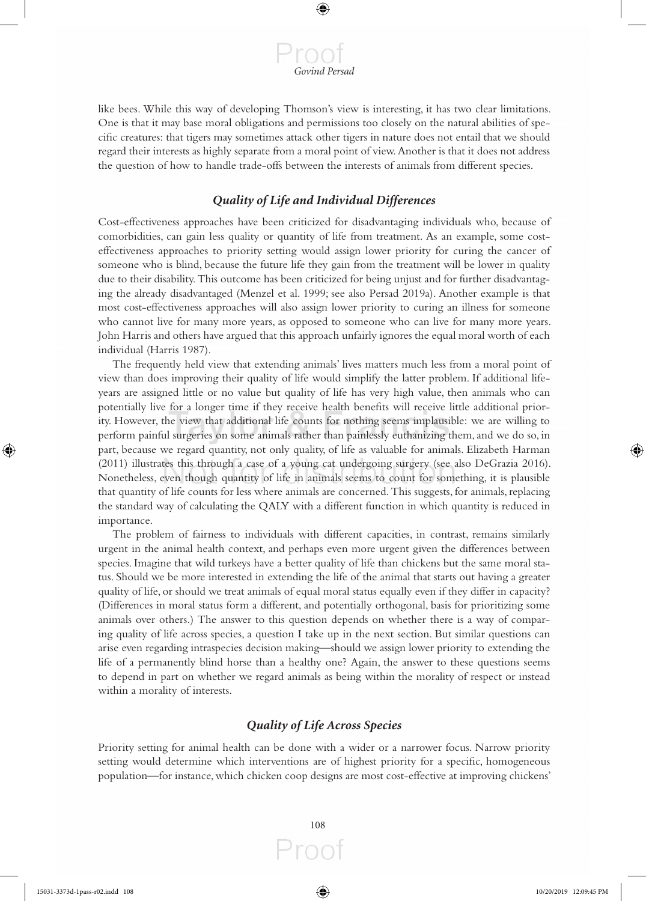⊕

like bees. While this way of developing Thomson's view is interesting, it has two clear limitations. One is that it may base moral obligations and permissions too closely on the natural abilities of specific creatures: that tigers may sometimes attack other tigers in nature does not entail that we should regard their interests as highly separate from a moral point of view. Another is that it does not address the question of how to handle trade-offs between the interests of animals from different species.

## *Quality of Life and Individual Differences*

 Cost-effectiveness approaches have been criticized for disadvantaging individuals who, because of comorbidities, can gain less quality or quantity of life from treatment. As an example, some costeffectiveness approaches to priority setting would assign lower priority for curing the cancer of someone who is blind, because the future life they gain from the treatment will be lower in quality due to their disability. This outcome has been criticized for being unjust and for further disadvantaging the already disadvantaged (Menzel et al. 1999; see also Persad 2019a). Another example is that most cost-effectiveness approaches will also assign lower priority to curing an illness for someone who cannot live for many more years, as opposed to someone who can live for many more years. John Harris and others have argued that this approach unfairly ignores the equal moral worth of each individual (Harris 1987).

 The frequently held view that extending animals' lives matters much less from a moral point of view than does improving their quality of life would simplify the latter problem. If additional lifeyears are assigned little or no value but quality of life has very high value, then animals who can potentially live for a longer time if they receive health benefits will receive little additional priority. However, the view that additional life counts for nothing seems implausible: we are willing to perform painful surgeries on some animals rather than painlessly euthanizing them, and we do so, in part, because we regard quantity, not only quality, of life as valuable for animals. Elizabeth Harman (2011) illustrates this through a case of a young cat undergoing surgery (see also DeGrazia 2016). Nonetheless, even though quantity of life in animals seems to count for something, it is plausible that quantity of life counts for less where animals are concerned. This suggests, for animals, replacing the standard way of calculating the QALY with a different function in which quantity is reduced in importance.

 The problem of fairness to individuals with different capacities, in contrast, remains similarly urgent in the animal health context, and perhaps even more urgent given the differences between species. Imagine that wild turkeys have a better quality of life than chickens but the same moral status. Should we be more interested in extending the life of the animal that starts out having a greater quality of life, or should we treat animals of equal moral status equally even if they differ in capacity? (Differences in moral status form a different, and potentially orthogonal, basis for prioritizing some animals over others.) The answer to this question depends on whether there is a way of comparing quality of life across species, a question I take up in the next section. But similar questions can arise even regarding intraspecies decision making—should we assign lower priority to extending the life of a permanently blind horse than a healthy one? Again, the answer to these questions seems to depend in part on whether we regard animals as being within the morality of respect or instead within a morality of interests.

## *Quality of Life Across Species*

 Priority setting for animal health can be done with a wider or a narrower focus. Narrow priority setting would determine which interventions are of highest priority for a specific, homogeneous population—for instance, which chicken coop designs are most cost-effective at improving chickens'



⊕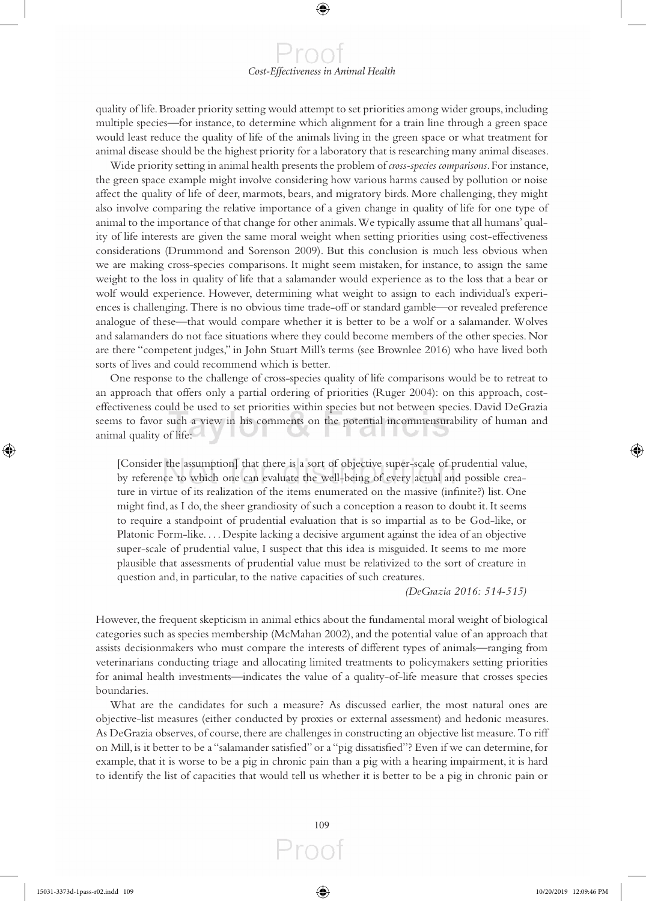⊕

quality of life. Broader priority setting would attempt to set priorities among wider groups, including multiple species—for instance, to determine which alignment for a train line through a green space would least reduce the quality of life of the animals living in the green space or what treatment for animal disease should be the highest priority for a laboratory that is researching many animal diseases.

 Wide priority setting in animal health presents the problem of *cross-species comparisons* . For instance, the green space example might involve considering how various harms caused by pollution or noise affect the quality of life of deer, marmots, bears, and migratory birds. More challenging, they might also involve comparing the relative importance of a given change in quality of life for one type of animal to the importance of that change for other animals. We typically assume that all humans' quality of life interests are given the same moral weight when setting priorities using cost-effectiveness considerations (Drummond and Sorenson 2009). But this conclusion is much less obvious when we are making cross-species comparisons. It might seem mistaken, for instance, to assign the same weight to the loss in quality of life that a salamander would experience as to the loss that a bear or wolf would experience. However, determining what weight to assign to each individual's experiences is challenging. There is no obvious time trade-off or standard gamble—or revealed preference analogue of these—that would compare whether it is better to be a wolf or a salamander. Wolves and salamanders do not face situations where they could become members of the other species. Nor are there "competent judges," in John Stuart Mill's terms (see Brownlee 2016 ) who have lived both sorts of lives and could recommend which is better.

 One response to the challenge of cross-species quality of life comparisons would be to retreat to an approach that offers only a partial ordering of priorities (Ruger 2004): on this approach, costeffectiveness could be used to set priorities within species but not between species. David DeGrazia seems to favor such a view in his comments on the potential incommensurability of human and animal quality of life:

 [Consider the assumption] that there is a sort of objective super-scale of prudential value, by reference to which one can evaluate the well-being of every actual and possible creature in virtue of its realization of the items enumerated on the massive (infinite?) list. One might find, as I do, the sheer grandiosity of such a conception a reason to doubt it. It seems to require a standpoint of prudential evaluation that is so impartial as to be God-like, or Platonic Form-like. . . . Despite lacking a decisive argument against the idea of an objective super-scale of prudential value, I suspect that this idea is misguided. It seems to me more plausible that assessments of prudential value must be relativized to the sort of creature in question and, in particular, to the native capacities of such creatures.

 *( DeGrazia 2016 : 514-515)* 

 However, the frequent skepticism in animal ethics about the fundamental moral weight of biological categories such as species membership ( McMahan 2002 ), and the potential value of an approach that assists decisionmakers who must compare the interests of different types of animals—ranging from veterinarians conducting triage and allocating limited treatments to policymakers setting priorities for animal health investments—indicates the value of a quality-of-life measure that crosses species boundaries.

 What are the candidates for such a measure? As discussed earlier, the most natural ones are objective-list measures (either conducted by proxies or external assessment) and hedonic measures. As DeGrazia observes, of course, there are challenges in constructing an objective list measure. To riff on Mill, is it better to be a "salamander satisfied" or a "pig dissatisfied"? Even if we can determine, for example, that it is worse to be a pig in chronic pain than a pig with a hearing impairment, it is hard to identify the list of capacities that would tell us whether it is better to be a pig in chronic pain or

109

Proo

⊕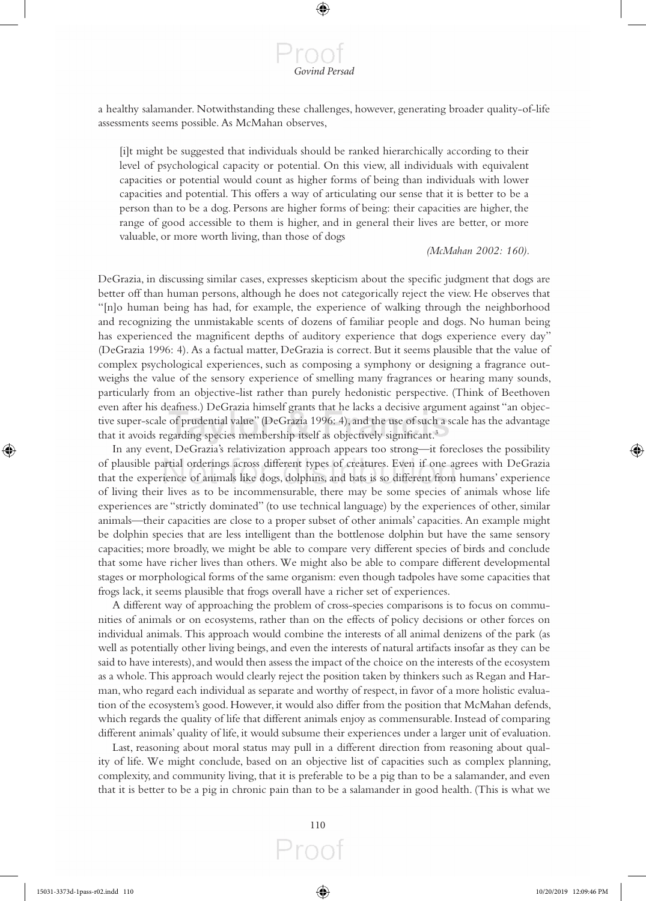⊕

a healthy salamander. Notwithstanding these challenges, however, generating broader quality-of-life assessments seems possible. As McMahan observes,

 [i]t might be suggested that individuals should be ranked hierarchically according to their level of psychological capacity or potential. On this view, all individuals with equivalent capacities or potential would count as higher forms of being than individuals with lower capacities and potential. This offers a way of articulating our sense that it is better to be a person than to be a dog. Persons are higher forms of being: their capacities are higher, the range of good accessible to them is higher, and in general their lives are better, or more valuable, or more worth living, than those of dogs

 *( McMahan 2002 : 160).* 

DeGrazia, in discussing similar cases, expresses skepticism about the specific judgment that dogs are better off than human persons, although he does not categorically reject the view. He observes that "[n]o human being has had, for example, the experience of walking through the neighborhood and recognizing the unmistakable scents of dozens of familiar people and dogs. No human being has experienced the magnificent depths of auditory experience that dogs experience every day" ( DeGrazia 1996 : 4). As a factual matter, DeGrazia is correct. But it seems plausible that the value of complex psychological experiences, such as composing a symphony or designing a fragrance outweighs the value of the sensory experience of smelling many fragrances or hearing many sounds, particularly from an objective-list rather than purely hedonistic perspective. (Think of Beethoven even after his deafness.) DeGrazia himself grants that he lacks a decisive argument against "an objective super-scale of prudential value" (DeGrazia 1996: 4), and the use of such a scale has the advantage that it avoids regarding species membership itself as objectively significant.<sup>3</sup>

 In any event, DeGrazia's relativization approach appears too strong—it forecloses the possibility of plausible partial orderings across different types of creatures. Even if one agrees with DeGrazia that the experience of animals like dogs, dolphins, and bats is so different from humans' experience of living their lives as to be incommensurable, there may be some species of animals whose life experiences are "strictly dominated" (to use technical language) by the experiences of other, similar animals—their capacities are close to a proper subset of other animals' capacities. An example might be dolphin species that are less intelligent than the bottlenose dolphin but have the same sensory capacities; more broadly, we might be able to compare very different species of birds and conclude that some have richer lives than others. We might also be able to compare different developmental stages or morphological forms of the same organism: even though tadpoles have some capacities that frogs lack, it seems plausible that frogs overall have a richer set of experiences.

 A different way of approaching the problem of cross-species comparisons is to focus on communities of animals or on ecosystems, rather than on the effects of policy decisions or other forces on individual animals. This approach would combine the interests of all animal denizens of the park (as well as potentially other living beings, and even the interests of natural artifacts insofar as they can be said to have interests), and would then assess the impact of the choice on the interests of the ecosystem as a whole. This approach would clearly reject the position taken by thinkers such as Regan and Harman, who regard each individual as separate and worthy of respect, in favor of a more holistic evaluation of the ecosystem's good. However, it would also differ from the position that McMahan defends, which regards the quality of life that different animals enjoy as commensurable. Instead of comparing different animals' quality of life, it would subsume their experiences under a larger unit of evaluation.

 Last, reasoning about moral status may pull in a different direction from reasoning about quality of life. We might conclude, based on an objective list of capacities such as complex planning, complexity, and community living, that it is preferable to be a pig than to be a salamander, and even that it is better to be a pig in chronic pain than to be a salamander in good health. (This is what we

110

Proot

⊕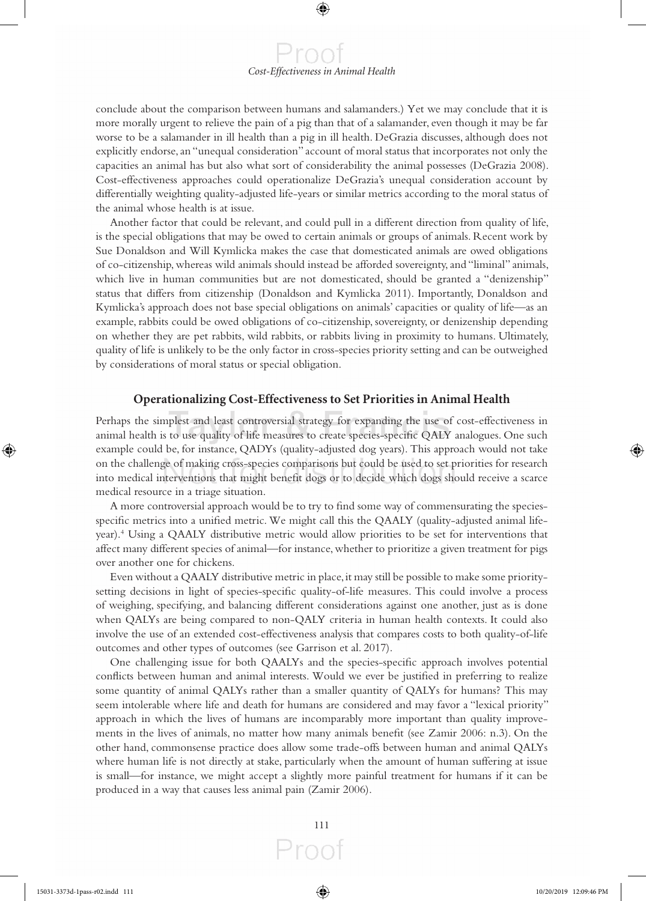⊕

conclude about the comparison between humans and salamanders.) Yet we may conclude that it is more morally urgent to relieve the pain of a pig than that of a salamander, even though it may be far worse to be a salamander in ill health than a pig in ill health. DeGrazia discusses, although does not explicitly endorse, an "unequal consideration" account of moral status that incorporates not only the capacities an animal has but also what sort of considerability the animal possesses (DeGrazia 2008). Cost-effectiveness approaches could operationalize DeGrazia's unequal consideration account by differentially weighting quality-adjusted life-years or similar metrics according to the moral status of the animal whose health is at issue.

 Another factor that could be relevant, and could pull in a different direction from quality of life, is the special obligations that may be owed to certain animals or groups of animals. Recent work by Sue Donaldson and Will Kymlicka makes the case that domesticated animals are owed obligations of co-citizenship, whereas wild animals should instead be afforded sovereignty, and "liminal" animals, which live in human communities but are not domesticated, should be granted a "denizenship" status that differs from citizenship (Donaldson and Kymlicka 2011). Importantly, Donaldson and Kymlicka's approach does not base special obligations on animals' capacities or quality of life—as an example, rabbits could be owed obligations of co-citizenship, sovereignty, or denizenship depending on whether they are pet rabbits, wild rabbits, or rabbits living in proximity to humans. Ultimately, quality of life is unlikely to be the only factor in cross-species priority setting and can be outweighed by considerations of moral status or special obligation.

### **Operationalizing Cost-Effectiveness to Set Priorities in Animal Health**

 Perhaps the simplest and least controversial strategy for expanding the use of cost-effectiveness in animal health is to use quality of life measures to create species-specific QALY analogues. One such example could be, for instance, QADYs (quality-adjusted dog years). This approach would not take on the challenge of making cross-species comparisons but could be used to set priorities for research into medical interventions that might benefit dogs or to decide which dogs should receive a scarce medical resource in a triage situation.

A more controversial approach would be to try to find some way of commensurating the speciesspecific metrics into a unified metric. We might call this the QAALY (quality-adjusted animal lifeyear). 4 Using a QAALY distributive metric would allow priorities to be set for interventions that affect many different species of animal—for instance, whether to prioritize a given treatment for pigs over another one for chickens.

 Even without a QAALY distributive metric in place, it may still be possible to make some prioritysetting decisions in light of species-specific quality-of-life measures. This could involve a process of weighing, specifying, and balancing different considerations against one another, just as is done when QALYs are being compared to non-QALY criteria in human health contexts. It could also involve the use of an extended cost-effectiveness analysis that compares costs to both quality-of-life outcomes and other types of outcomes (see Garrison et al. 2017).

One challenging issue for both QAALYs and the species-specific approach involves potential conflicts between human and animal interests. Would we ever be justified in preferring to realize some quantity of animal QALYs rather than a smaller quantity of QALYs for humans? This may seem intolerable where life and death for humans are considered and may favor a "lexical priority" approach in which the lives of humans are incomparably more important than quality improvements in the lives of animals, no matter how many animals benefit (see Zamir 2006: n.3). On the other hand, commonsense practice does allow some trade-offs between human and animal QALYs where human life is not directly at stake, particularly when the amount of human suffering at issue is small—for instance, we might accept a slightly more painful treatment for humans if it can be produced in a way that causes less animal pain (Zamir 2006).

111

Proot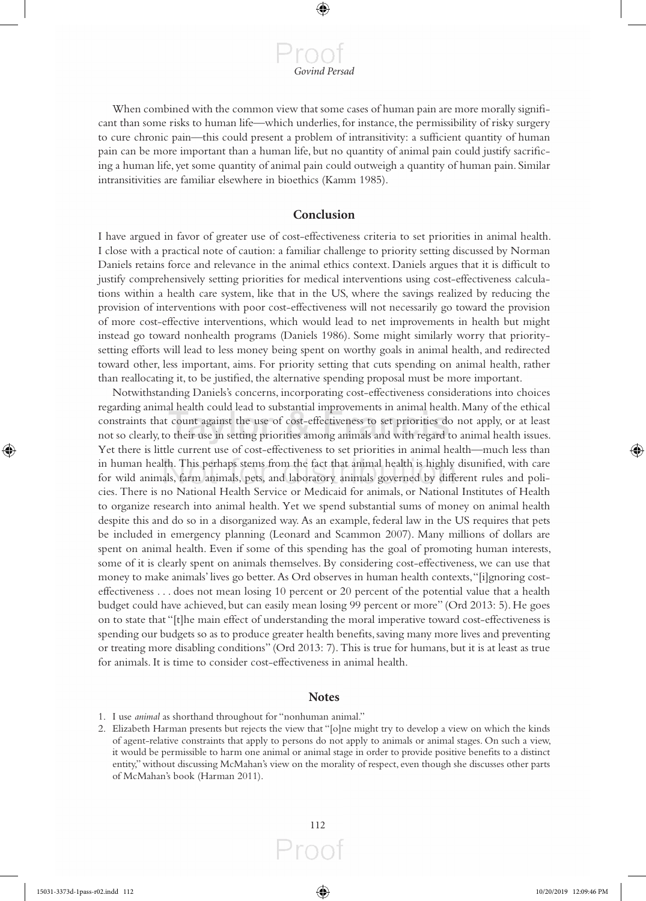⊕

When combined with the common view that some cases of human pain are more morally significant than some risks to human life—which underlies, for instance, the permissibility of risky surgery to cure chronic pain—this could present a problem of intransitivity: a sufficient quantity of human pain can be more important than a human life, but no quantity of animal pain could justify sacrificing a human life, yet some quantity of animal pain could outweigh a quantity of human pain. Similar intransitivities are familiar elsewhere in bioethics (Kamm 1985).

#### **Conclusion**

 I have argued in favor of greater use of cost-effectiveness criteria to set priorities in animal health. I close with a practical note of caution: a familiar challenge to priority setting discussed by Norman Daniels retains force and relevance in the animal ethics context. Daniels argues that it is difficult to justify comprehensively setting priorities for medical interventions using cost-effectiveness calculations within a health care system, like that in the US, where the savings realized by reducing the provision of interventions with poor cost-effectiveness will not necessarily go toward the provision of more cost-effective interventions, which would lead to net improvements in health but might instead go toward nonhealth programs (Daniels 1986). Some might similarly worry that prioritysetting efforts will lead to less money being spent on worthy goals in animal health, and redirected toward other, less important, aims. For priority setting that cuts spending on animal health, rather than reallocating it, to be justified, the alternative spending proposal must be more important.

 Notwithstanding Daniels's concerns, incorporating cost-effectiveness considerations into choices regarding animal health could lead to substantial improvements in animal health. Many of the ethical constraints that count against the use of cost-effectiveness to set priorities do not apply, or at least not so clearly, to their use in setting priorities among animals and with regard to animal health issues. Yet there is little current use of cost-effectiveness to set priorities in animal health—much less than in human health. This perhaps stems from the fact that animal health is highly disunified, with care for wild animals, farm animals, pets, and laboratory animals governed by different rules and policies. There is no National Health Service or Medicaid for animals, or National Institutes of Health to organize research into animal health. Yet we spend substantial sums of money on animal health despite this and do so in a disorganized way. As an example, federal law in the US requires that pets be included in emergency planning (Leonard and Scammon 2007). Many millions of dollars are spent on animal health. Even if some of this spending has the goal of promoting human interests, some of it is clearly spent on animals themselves. By considering cost-effectiveness, we can use that money to make animals' lives go better. As Ord observes in human health contexts, "[i]gnoring costeffectiveness . . . does not mean losing 10 percent or 20 percent of the potential value that a health budget could have achieved, but can easily mean losing 99 percent or more" ( Ord 2013 : 5). He goes on to state that "[t]he main effect of understanding the moral imperative toward cost-effectiveness is spending our budgets so as to produce greater health benefits, saving many more lives and preventing or treating more disabling conditions" ( Ord 2013 : 7). This is true for humans, but it is at least as true for animals. It is time to consider cost-effectiveness in animal health.

#### **Notes**

1. I use *animal* as shorthand throughout for "nonhuman animal."

 2. Elizabeth Harman presents but rejects the view that "[o]ne might try to develop a view on which the kinds of agent-relative constraints that apply to persons do not apply to animals or animal stages. On such a view, it would be permissible to harm one animal or animal stage in order to provide positive benefits to a distinct entity," without discussing McMahan's view on the morality of respect, even though she discusses other parts of McMahan's book (Harman 2011).

⊕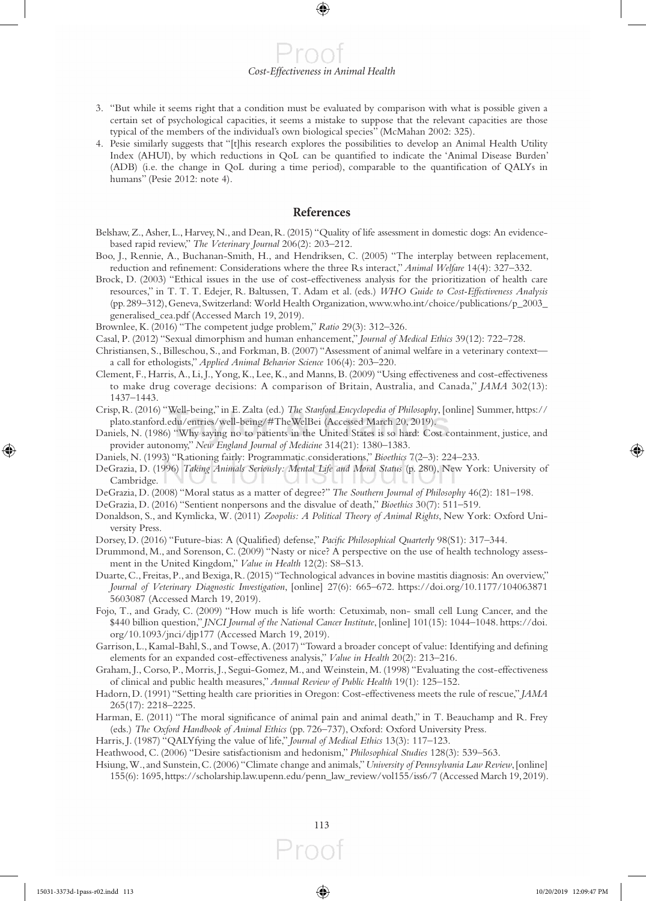⊕

- 3. "But while it seems right that a condition must be evaluated by comparison with what is possible given a certain set of psychological capacities, it seems a mistake to suppose that the relevant capacities are those typical of the members of the individual's own biological species" (McMahan 2002: 325).
- 4. Pesie similarly suggests that "[t]his research explores the possibilities to develop an Animal Health Utility Index (AHUI), by which reductions in QoL can be quantified to indicate the 'Animal Disease Burden' (ADB) (i.e. the change in QoL during a time period), comparable to the quantification of QALYs in humans" (Pesie 2012: note 4).

### **References**

 Belshaw, Z., Asher, L., Harvey, N., and Dean, R. (2015) "Quality of life assessment in domestic dogs: An evidencebased rapid review," *The Veterinary Journal* 206(2): 203–212.

- Boo, J., Rennie, A., Buchanan-Smith, H., and Hendriksen, C. (2005) "The interplay between replacement, reduction and refinement: Considerations where the three Rs interact," Animal Welfare 14(4): 327-332.
- Brock, D. (2003) "Ethical issues in the use of cost-effectiveness analysis for the prioritization of health care resources," in T. T. T. Edejer, R. Baltussen, T. Adam et al. (eds.) *WHO Guide to Cost-Effectiveness Analysis* (pp. 289–312), Geneva, Switzerland: World Health Organization, www.who.int/choice/publications/p\_2003\_ generalised\_cea.pdf (Accessed March 19, 2019).
- Brownlee, K. (2016) "The competent judge problem," *Ratio* 29(3): 312–326.
- Casal, P. (2012) "Sexual dimorphism and human enhancement," *Journal of Medical Ethics* 39(12): 722–728.
- Christiansen, S., Billeschou, S., and Forkman, B. (2007) "Assessment of animal welfare in a veterinary context a call for ethologists," *Applied Animal Behavior Science* 106(4): 203–220.
- Clement, F., Harris, A., Li, J., Yong, K., Lee, K., and Manns, B. (2009) "Using effectiveness and cost- effectiveness to make drug coverage decisions: A comparison of Britain, Australia, and Canada," *JAMA* 302(13): 1437–1443.
- Crisp, R. (2016) "Well-being," in E. Zalta (ed.) *The Stanford Encyclopedia of Philosophy* , [online] Summer, https:// plato.stanford.edu/entries/well-being/#TheWelBei (Accessed March 20, 2019).
- Daniels, N. (1986) "Why saying no to patients in the United States is so hard: Cost containment, justice, and provider autonomy," *New England Journal of Medicine* 314(21): 1380–1383.
- Daniels, N. (1993) "Rationing fairly: Programmatic considerations," *Bioethics* 7(2–3): 224–233.
- DeGrazia, D. (1996) *Taking Animals Seriously: Mental Life and Moral Status* (p. 280), New York: University of Cambridge.
- DeGrazia, D. (2008) "Moral status as a matter of degree?" *The Southern Journal of Philosophy* 46(2): 181–198.
- DeGrazia, D. (2016) "Sentient nonpersons and the disvalue of death," *Bioethics* 30(7): 511–519.
- Donaldson, S., and Kymlicka, W. (2011) *Zoopolis: A Political Theory of Animal Rights* , New York: Oxford University Press.
- Dorsey, D. (2016) "Future-bias: A (Qualified) defense," *Pacific Philosophical Quarterly* 98(S1): 317-344.
- Drummond, M., and Sorenson, C. (2009) "Nasty or nice? A perspective on the use of health technology assessment in the United Kingdom," *Value in Health* 12(2): S8–S13.
- Duarte, C., Freitas, P., and Bexiga, R. (2015) "Technological advances in bovine mastitis diagnosis: An overview," *Journal of Veterinary Diagnostic Investigation* , [online] 27(6): 665–672. https://doi.org/10.1177/104063871 5603087 (Accessed March 19, 2019).
- Fojo, T., and Grady, C. (2009) "How much is life worth: Cetuximab, non- small cell Lung Cancer, and the \$440 billion question," *JNCI Journal of the National Cancer Institute* , [online] 101(15): 1044–1048. https://doi. org/10.1093/jnci/djp177 (Accessed March 19, 2019).
- Garrison, L., Kamal-Bahl, S., and Towse, A. (2017) "Toward a broader concept of value: Identifying and defining elements for an expanded cost-effectiveness analysis," *Value in Health* 20(2): 213–216.
- Graham, J., Corso, P., Morris, J., Segui-Gomez, M., and Weinstein, M. (1998) "Evaluating the cost-effectiveness of clinical and public health measures," *Annual Review of Public Health* 19(1): 125–152.
- Hadorn, D. (1991) "Setting health care priorities in Oregon: Cost-effectiveness meets the rule of rescue," *JAMA* 265(17): 2218–2225.
- Harman, E. (2011) "The moral significance of animal pain and animal death," in T. Beauchamp and R. Frey (eds.) *The Oxford Handbook of Animal Ethics* (pp. 726–737), Oxford: Oxford University Press.
- Harris, J. (1987) "QALYfying the value of life," *Journal of Medical Ethics* 13(3): 117–123.
- Heathwood, C. (2006) "Desire satisfactionism and hedonism," *Philosophical Studies* 128(3): 539–563.
- Hsiung, W., and Sunstein, C. (2006) "Climate change and animals," *University of Pennsylvania Law Review* , [online] 155(6): 1695, https://scholarship.law.upenn.edu/penn\_law\_review/vol155/iss6/7 (Accessed March 19, 2019).

113

⊕